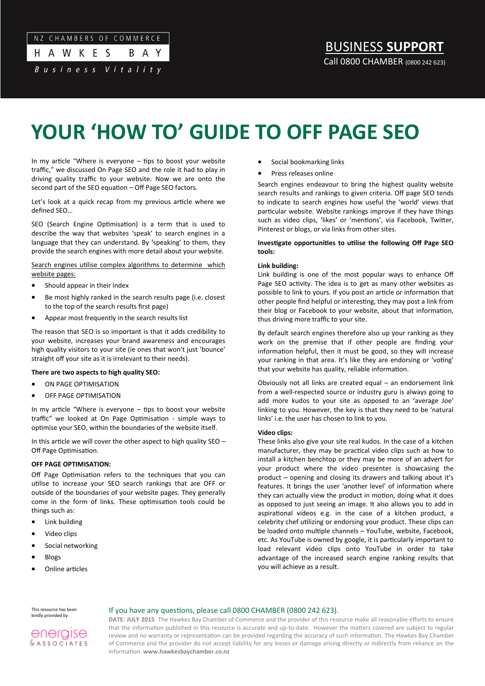#### $N<sub>7</sub>$ CHAMBERS OF COMMERCE

| H A W K E S       |  |  |  |  |  | <b>BA</b> |  |  |
|-------------------|--|--|--|--|--|-----------|--|--|
| Business Vitality |  |  |  |  |  |           |  |  |

BUSINESS **SUPPORT** Call 0800 CHAMBER (0800 242 623)

# **YOUR 'HOW TO' GUIDE TO OFF PAGE SEO**

In my article "Where is everyone – tips to boost your website traffic," we discussed On Page SEO and the role it had to play in driving quality traffic to your website. Now we are onto the second part of the SEO equation – Off Page SEO factors.

Let's look at a quick recap from my previous article where we defined SEO…

SEO (Search Engine Optimisation) is a term that is used to describe the way that websites 'speak' to search engines in a language that they can understand. By 'speaking' to them, they provide the search engines with more detail about your website.

Search engines utilise complex algorithms to determine which website pages:

- Should appear in their index
- Be most highly ranked in the search results page (i.e. closest to the top of the search results first page)
- Appear most frequently in the search results list

The reason that SEO is so important is that it adds credibility to your website, increases your brand awareness and encourages high quality visitors to your site (ie ones that won't just 'bounce' straight off your site as it is irrelevant to their needs).

## **There are two aspects to high quality SEO:**

- ON PAGE OPTIMISATION
- OFF PAGE OPTIMISATION

In my article "Where is everyone – tips to boost your website traffic" we looked at On Page Optimisation - simple ways to optimise your SEO, within the boundaries of the website itself.

In this article we will cover the other aspect to high quality  $$EO -$ Off Page Optimisation.

## **OFF PAGE OPTIMISATION:**

Off Page Optimisation refers to the techniques that you can utilise to increase your SEO search rankings that are OFF or outside of the boundaries of your website pages. They generally come in the form of links. These optimisation tools could be things such as:

- Link building
- Video clips
- Social networking
- Blogs
- Online articles
- Social bookmarking links
- Press releases online

Search engines endeavour to bring the highest quality website search results and rankings to given criteria. Off page SEO tends to indicate to search engines how useful the 'world' views that particular website. Website rankings improve if they have things such as video clips, 'likes' or 'mentions', via Facebook, Twitter, Pinterest or blogs, or via links from other sites.

## **Investigate opportunities to utilise the following Off Page SEO tools:**

## **Link building:**

Link building is one of the most popular ways to enhance Off Page SEO activity. The idea is to get as many other websites as possible to link to yours. If you post an article or information that other people find helpful or interesting, they may post a link from their blog or Facebook to your website, about that information, thus driving more traffic to your site.

By default search engines therefore also up your ranking as they work on the premise that if other people are finding your information helpful, then it must be good, so they will increase your ranking in that area. It's like they are endorsing or 'voting' that your website has quality, reliable information.

Obviously not all links are created equal – an endorsement link from a well-respected source or industry guru is always going to add more kudos to your site as opposed to an 'average Joe' linking to you. However, the key is that they need to be 'natural links' i.e. the user has chosen to link to you.

## **Video clips:**

These links also give your site real kudos. In the case of a kitchen manufacturer, they may be practical video clips such as how to install a kitchen benchtop or they may be more of an advert for your product where the video presenter is showcasing the product – opening and closing its drawers and talking about it's features. It brings the user 'another level' of information where they can actually view the product in motion, doing what it does as opposed to just seeing an image. It also allows you to add in aspirational videos e.g. in the case of a kitchen product, a celebrity chef utilizing or endorsing your product. These clips can be loaded onto multiple channels – YouTube, website, Facebook, etc. As YouTube is owned by google, it is particularly important to load relevant video clips onto YouTube in order to take advantage of the increased search engine ranking results that you will achieve as a result.

This resource has been kindly provided by

## If you have any questions, please call 0800 CHAMBER (0800 242 623).



**DATE: JULY 2015** The Hawkes Bay Chamber of Commerce and the provider of this resource make all reasonable efforts to ensure that the information published in this resource is accurate and up-to-date. However the matters covered are subject to regular review and no warranty or representation can be provided regarding the accuracy of such information. The Hawkes Bay Chamber of Commerce and the provider do not accept liability for any losses or damage arising directly or indirectly from reliance on the information. **www.hawkesbaychamber.co.nz**